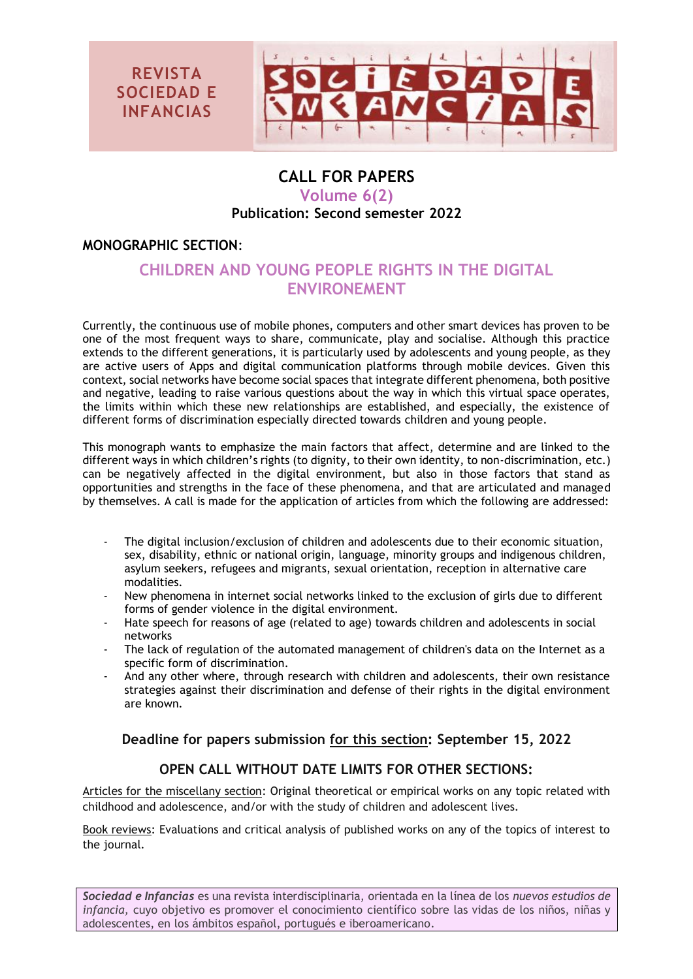

## **CALL FOR PAPERS Volume 6(2) Publication: Second semester 2022**

### **MONOGRAPHIC SECTION**:

# **CHILDREN AND YOUNG PEOPLE RIGHTS IN THE DIGITAL ENVIRONEMENT**

Currently, the continuous use of mobile phones, computers and other smart devices has proven to be one of the most frequent ways to share, communicate, play and socialise. Although this practice extends to the different generations, it is particularly used by adolescents and young people, as they are active users of Apps and digital communication platforms through mobile devices. Given this context, social networks have become social spaces that integrate different phenomena, both positive and negative, leading to raise various questions about the way in which this virtual space operates, the limits within which these new relationships are established, and especially, the existence of different forms of discrimination especially directed towards children and young people.

This monograph wants to emphasize the main factors that affect, determine and are linked to the different ways in which children's rights (to dignity, to their own identity, to non-discrimination, etc.) can be negatively affected in the digital environment, but also in those factors that stand as opportunities and strengths in the face of these phenomena, and that are articulated and managed by themselves. A call is made for the application of articles from which the following are addressed:

- The digital inclusion/exclusion of children and adolescents due to their economic situation, sex, disability, ethnic or national origin, language, minority groups and indigenous children, asylum seekers, refugees and migrants, sexual orientation, reception in alternative care modalities.
- New phenomena in internet social networks linked to the exclusion of girls due to different forms of gender violence in the digital environment.
- Hate speech for reasons of age (related to age) towards children and adolescents in social networks
- The lack of regulation of the automated management of children's data on the Internet as a specific form of discrimination.
- And any other where, through research with children and adolescents, their own resistance strategies against their discrimination and defense of their rights in the digital environment are known.

### **Deadline for papers submission for this section: September 15, 2022**

### **OPEN CALL WITHOUT DATE LIMITS FOR OTHER SECTIONS:**

Articles for the miscellany section: Original theoretical or empirical works on any topic related with childhood and adolescence, and/or with the study of children and adolescent lives.

Book reviews: Evaluations and critical analysis of published works on any of the topics of interest to the journal.

*[Sociedad e Infancias](http://revistas.ucm.es/index.php/SOCI)* es una revista interdisciplinaria, orientada en la línea de los *nuevos estudios de infancia,* cuyo objetivo es promover el conocimiento científico sobre las vidas de los niños, niñas y adolescentes, en los ámbitos español, portugués e iberoamericano.